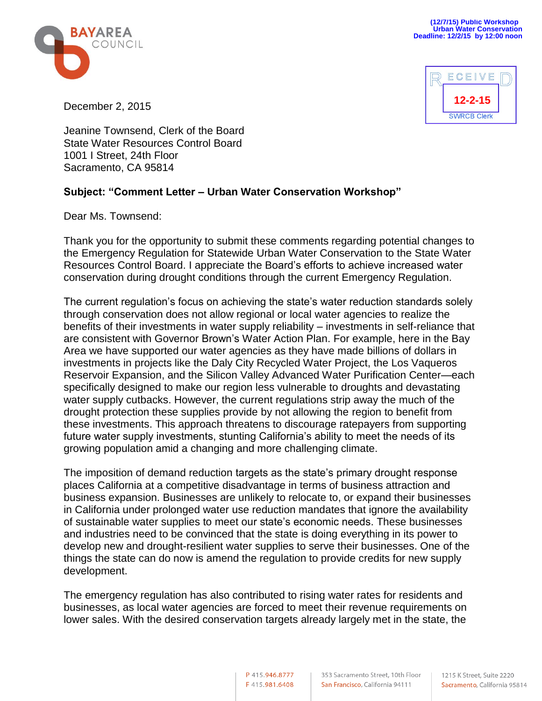



December 2, 2015

Jeanine Townsend, Clerk of the Board State Water Resources Control Board 1001 I Street, 24th Floor Sacramento, CA 95814

## **Subject: "Comment Letter – Urban Water Conservation Workshop"**

Dear Ms. Townsend:

Thank you for the opportunity to submit these comments regarding potential changes to the Emergency Regulation for Statewide Urban Water Conservation to the State Water Resources Control Board. I appreciate the Board's efforts to achieve increased water conservation during drought conditions through the current Emergency Regulation.

The current regulation's focus on achieving the state's water reduction standards solely through conservation does not allow regional or local water agencies to realize the benefits of their investments in water supply reliability – investments in self-reliance that are consistent with Governor Brown's Water Action Plan. For example, here in the Bay Area we have supported our water agencies as they have made billions of dollars in investments in projects like the Daly City Recycled Water Project, the Los Vaqueros Reservoir Expansion, and the Silicon Valley Advanced Water Purification Center—each specifically designed to make our region less vulnerable to droughts and devastating water supply cutbacks. However, the current regulations strip away the much of the drought protection these supplies provide by not allowing the region to benefit from these investments. This approach threatens to discourage ratepayers from supporting future water supply investments, stunting California's ability to meet the needs of its growing population amid a changing and more challenging climate.

The imposition of demand reduction targets as the state's primary drought response places California at a competitive disadvantage in terms of business attraction and business expansion. Businesses are unlikely to relocate to, or expand their businesses in California under prolonged water use reduction mandates that ignore the availability of sustainable water supplies to meet our state's economic needs. These businesses and industries need to be convinced that the state is doing everything in its power to develop new and drought-resilient water supplies to serve their businesses. One of the things the state can do now is amend the regulation to provide credits for new supply development.

The emergency regulation has also contributed to rising water rates for residents and businesses, as local water agencies are forced to meet their revenue requirements on lower sales. With the desired conservation targets already largely met in the state, the